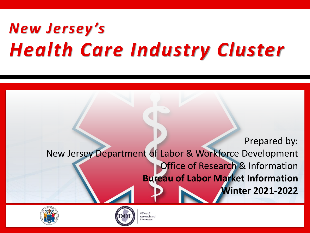# *New Jersey's Health Care Industry Cluster*

Prepared by:

New Jersey Department of Labor & Workforce Development **Office of Research & Information Bureau of Labor Market Information Winter 2021-2022**





Office of Research and nformation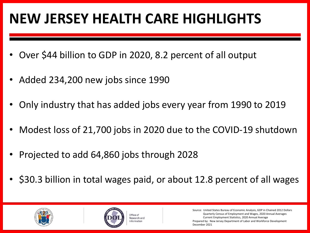# **NEW JERSEY HEALTH CARE HIGHLIGHTS**

- Over \$44 billion to GDP in 2020, 8.2 percent of all output
- Added 234,200 new jobs since 1990
- Only industry that has added jobs every year from 1990 to 2019
- Modest loss of 21,700 jobs in 2020 due to the COVID-19 shutdown
- Projected to add 64,860 jobs through 2028
- \$30.3 billion in total wages paid, or about 12.8 percent of all wages





Source: United States Bureau of Economic Analysis, GDP in Chained 2012 Dollars Quarterly Census of Employment and Wages, 2020 Annual Averages Current Employment Statistics, 2020 Annual Average Prepared by: New Jersey Department of Labor and Workforce Development December 2021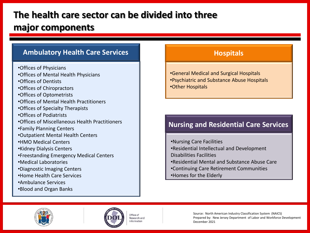# **The health care sector can be divided into three major components**

#### **Ambulatory Health Care Services Hospitals Hospitals**

- •Offices of Physicians
- •Offices of Mental Health Physicians
- •Offices of Dentists
- •Offices of Chiropractors
- •Offices of Optometrists
- •Offices of Mental Health Practitioners
- •Offices of Specialty Therapists
- •Offices of Podiatrists
- •Offices of Miscellaneous Health Practitioners
- •Family Planning Centers
- •Outpatient Mental Health Centers
- •HMO Medical Centers
- •Kidney Dialysis Centers
- •Freestanding Emergency Medical Centers
- •Medical Laboratories
- •Diagnostic Imaging Centers
- •Home Health Care Services
- •Ambulance Services
- •Blood and Organ Banks

•General Medical and Surgical Hospitals •Psychiatric and Substance Abuse Hospitals •Other Hospitals

#### **Nursing and Residential Care Services**

•Nursing Care Facilities •Residential Intellectual and Development Disabilities Facilities •Residential Mental and Substance Abuse Care •Continuing Care Retirement Communities

•Homes for the Elderly





Office of Research and nformation

Source: North American Industry Classification System (NAICS) Prepared by: New Jersey Department of Labor and Workforce Development December 2021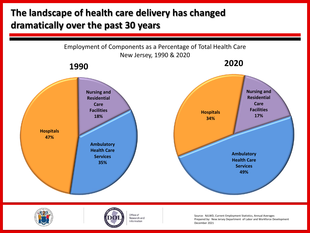# **The landscape of health care delivery has changed dramatically over the past 30 years**







Office of Research and Information

Source: NJLWD, Current Employment Statistics, Annual Averages Prepared by: New Jersey Department of Labor and Workforce Development December 2021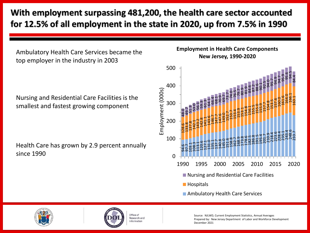#### **With employment surpassing 481,200, the health care sector accounted for 12.5% of all employment in the state in 2020, up from 7.5% in 1990**

Ambulatory Health Care Services became the top employer in the industry in 2003

Nursing and Residential Care Facilities is the smallest and fastest growing component

Health Care has grown by 2.9 percent annually since 1990









Office of Research and Information

Source: NJLWD, Current Employment Statistics, Annual Averages Prepared by: New Jersey Department of Labor and Workforce Development December 2021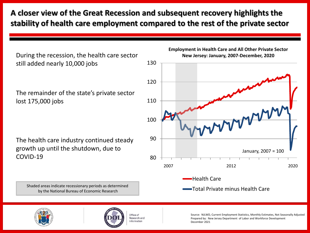#### **A closer view of the Great Recession and subsequent recovery highlights the stability of health care employment compared to the rest of the private sector**

During the recession, the health care sector still added nearly 10,000 jobs

The remainder of the state's private sector lost 175,000 jobs

The health care industry continued steady growth up until the shutdown, due to COVID-19

Shaded areas indicate recessionary periods as determined by the National Bureau of Economic Research







Office of Research and Information

Source: NJLWD, Current Employment Statistics, Monthly Estimates, Not Seasonally Adjusted Prepared by: New Jersey Department of Labor and Workforce Development December 2021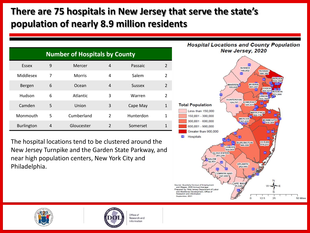# **There are 75 hospitals in New Jersey that serve the state's population of nearly 8.9 million residents**

| <b>Number of Hospitals by County</b> |   |               |                |               |                |  |  |
|--------------------------------------|---|---------------|----------------|---------------|----------------|--|--|
| Essex                                | 9 | Mercer        | 4              | Passaic       | $\mathfrak{p}$ |  |  |
| Middlesex                            | 7 | <b>Morris</b> | 4              | Salem         | $\mathfrak{p}$ |  |  |
| Bergen                               | 6 | Ocean         | 4              | <b>Sussex</b> | $\mathfrak{D}$ |  |  |
| Hudson                               | 6 | Atlantic      | 3              | Warren        | $\mathfrak{p}$ |  |  |
| Camden                               | 5 | Union         | 3              | Cape May      | $\mathbf{1}$   |  |  |
| Monmouth                             | 5 | Cumberland    | 2              | Hunterdon     | 1              |  |  |
| <b>Burlington</b>                    | 4 | Gloucester    | $\mathfrak{p}$ | Somerset<br>1 |                |  |  |

The hospital locations tend to be clustered around the New Jersey Turnpike and the Garden State Parkway, and near high population centers, New York City and Philadelphia.







Office of Research and Information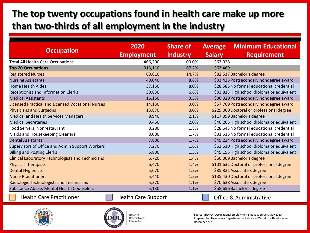### **The top twenty occupations found in health care make up more than two-thirds of all employment in the industry**

|                                                          | 2020                       | <b>Share of</b> | <b>Average</b>                             | <b>Minimum Educational</b>                 |
|----------------------------------------------------------|----------------------------|-----------------|--------------------------------------------|--------------------------------------------|
| <b>Occupation</b>                                        | <b>Employment</b>          | <b>Industry</b> | <b>Salary</b>                              | <b>Requirement</b>                         |
| <b>Total All Health Care Occupations</b>                 | 466,200                    | 100.0%          | \$63,028                                   |                                            |
| <b>Top 20 Occupations</b>                                | 313,110                    | 67.2%           | \$63,469                                   |                                            |
| <b>Registered Nurses</b>                                 | 68,610                     | 14.7%           |                                            | \$82,517 Bachelor's degree                 |
| <b>Nursing Assistants</b>                                | 40,040                     | 8.6%            |                                            | \$33,435 Postsecondary nondegree award     |
| <b>Home Health Aides</b>                                 | 37,160                     | 8.0%            |                                            | \$28,585 No formal educational credential  |
| <b>Receptionist and Information Clerks</b>               | 30,830                     | 6.6%            |                                            | \$33,813 High school diploma or equivalent |
| <b>Medical Assistants</b>                                | 16,150                     | 3.5%            |                                            | \$36,320 Postsecondary nondegree award     |
| <b>Licensed Practical and Licensed Vocational Nurses</b> | 14,130                     | 3.0%            |                                            | \$57,769 Postsecondary nondegree award     |
| <b>Physicians and Surgeons</b>                           | 13,870                     | 3.0%            |                                            | \$229,060 Doctoral or professional degree  |
| <b>Medical and Health Services Managers</b>              | 9,940                      | 2.1%            |                                            | \$117,099 Bachelor's degree                |
| <b>Medical Secretaries</b>                               | 9,450                      | 2.0%            |                                            | \$40,265 High school diploma or equivalent |
| Food Servers, Nonrestaurant                              | 8,280                      | 1.8%            | \$28,643 No formal educational credential  |                                            |
| Maids and Housekeeping Cleaners                          | 8,080                      | 1.7%            | \$31,515 No formal educational credential  |                                            |
| <b>Dental Assistants</b>                                 | 7,800                      | 1.7%            |                                            | \$49,224 Postsecondary nondegree award     |
| Supervisors of Office and Admin Support Workers          | 7,270                      | 1.6%            | \$63,610 High school diploma or equivalent |                                            |
| <b>Billing and Posting Clerks</b>                        | 6,800                      | 1.5%            | \$45,195 High school diploma or equivalent |                                            |
| <b>Clinical Laboratory Technologists and Technicians</b> | 6,720                      | 1.4%            | \$66,069 Bachelor's degree                 |                                            |
| <b>Physical Therapists</b>                               | 6,470                      | 1.4%            | \$101,631 Doctoral or professional degree  |                                            |
| <b>Dental Hygienists</b>                                 | 5,670                      | 1.2%            | \$85,821 Associate's degree                |                                            |
| <b>Nurse Practitioners</b>                               | 5,440                      | 1.2%            | \$135,430 Doctoral or professional degree  |                                            |
| <b>Radiologic Technologists and Technicians</b>          | 5,270                      | 1.1%            | \$70,638 Associate's degree                |                                            |
| Substance Abuse, Mental Health Counselors                | 5,130                      | 1.1%            | \$58,656 Bachelor's degree                 |                                            |
| <b>Health Care Practitioner</b>                          | <b>Health Care Support</b> |                 |                                            | <b>Office &amp; Administrative</b>         |





Office of Research and Information

Source: NJLWD, Occupational Employment Statistics Survey, May 2020 Prepared by: New Jersey Department of Labor and Workforce Development December 2021